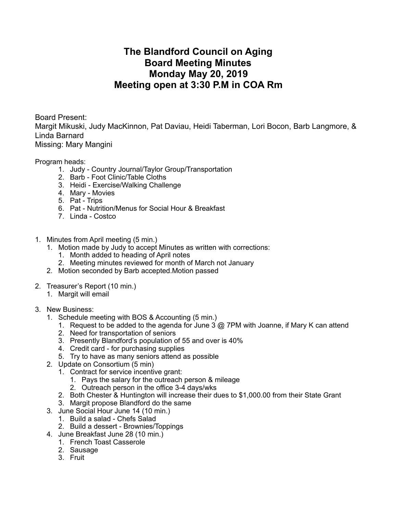## **The Blandford Council on Aging Board Meeting Minutes Monday May 20, 2019 Meeting open at 3:30 P.M in COA Rm**

Board Present:

Margit Mikuski, Judy MacKinnon, Pat Daviau, Heidi Taberman, Lori Bocon, Barb Langmore, & Linda Barnard

Missing: Mary Mangini

Program heads:

- 1. Judy Country Journal/Taylor Group/Transportation
- 2. Barb Foot Clinic/Table Cloths
- 3. Heidi Exercise/Walking Challenge
- 4. Mary Movies
- 5. Pat Trips
- 6. Pat Nutrition/Menus for Social Hour & Breakfast
- 7. Linda Costco
- 1. Minutes from April meeting (5 min.)
	- 1. Motion made by Judy to accept Minutes as written with corrections:
		- 1. Month added to heading of April notes
		- 2. Meeting minutes reviewed for month of March not January
	- 2. Motion seconded by Barb accepted.Motion passed
- 2. Treasurer's Report (10 min.)
	- 1. Margit will email
- 3. New Business:
	- 1. Schedule meeting with BOS & Accounting (5 min.)
		- 1. Request to be added to the agenda for June 3 @ 7PM with Joanne, if Mary K can attend
		- 2. Need for transportation of seniors
		- 3. Presently Blandford's population of 55 and over is 40%
		- 4. Credit card for purchasing supplies
		- 5. Try to have as many seniors attend as possible
	- 2. Update on Consortium (5 min)
		- 1. Contract for service incentive grant:
			- 1. Pays the salary for the outreach person & mileage
			- 2. Outreach person in the office 3-4 days/wks
		- 2. Both Chester & Huntington will increase their dues to \$1,000.00 from their State Grant
		- 3. Margit propose Blandford do the same
	- 3. June Social Hour June 14 (10 min.)
		- 1. Build a salad Chefs Salad
		- 2. Build a dessert Brownies/Toppings
	- 4. June Breakfast June 28 (10 min.)
		- 1. French Toast Casserole
		- 2. Sausage
		- 3. Fruit